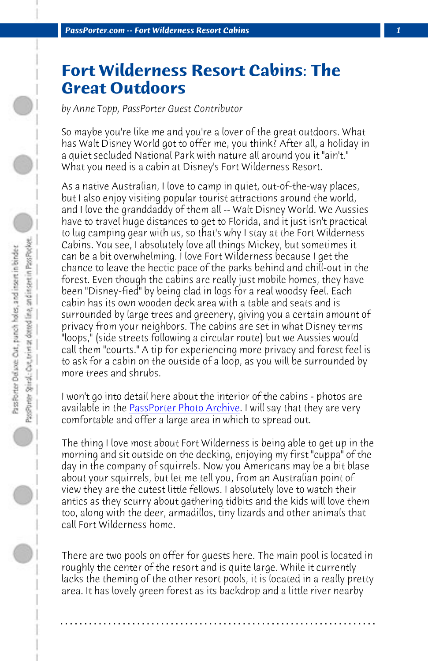*PassPorter.com -- Fort Wilderness Resort Cabins 1*

## **Fort Wilderness Resort Cabins: The Great Outdoors**

*by Anne Topp, PassPorter Guest Contributor*

So maybe you're like me and you're a lover of the great outdoors. What has Walt Disney World got to offer me, you think? After all, a holiday in a quiet secluded National Park with nature all around you it "ain't." What you need is a cabin at Disney's Fort Wilderness Resort.

As a native Australian, I love to camp in quiet, out-of-the-way places, but I also enjoy visiting popular tourist attractions around the world, and I love the g[randdaddy of them all -- W](http://www.passporter.com/photos/showgallery.php/cat/502)alt Disney World. We Aussies have to travel huge distances to get to Florida, and it just isn't practical to lug camping gear with us, so that's why I stay at the Fort Wilderness Cabins. You see, I absolutely love all things Mickey, but sometimes it can be a bit overwhelming. I love Fort Wilderness because I get the chance to leave the hectic pace of the parks behind and chill-out in the forest. Even though the cabins are really just mobile homes, they have been "Disney-fied" by being clad in logs for a real woodsy feel. Each cabin has its own wooden deck area with a table and seats and is surrounded by large trees and greenery, giving you a certain amount of privacy from your neighbors. The cabins are set in what Disney terms "loops," (side streets following a circular route) but we Aussies would call them "courts." A tip for experiencing more privacy and forest feel is to ask for a cabin on the outside of a loop, as you will be surrounded by more trees and shrubs.

I won't go into detail here about the interior of the cabins - photos are available in the **PassPorter Photo Archive**. I will say that they are very comfortable and offer a large area in which to spread out.

The thing I love most about Fort Wilderness is being able to get up in the morning and sit outside on the decking, enjoying my first "cuppa" of the day in the company of squirrels. Now you Americans may be a bit blase about your squirrels, but let me tell you, from an Australian point of view they are the cutest little fellows. I absolutely love to watch their antics as they scurry about gathering tidbits and the kids will love them too, along with the deer, armadillos, tiny lizards and other animals that call Fort Wilderness home.

There are two pools on offer for guests here. The main pool is located in roughly the center of the resort and is quite large. While it currently lacks the theming of the other resort pools, it is located in a really pretty area. It has lovely green forest as its backdrop and a little river nearby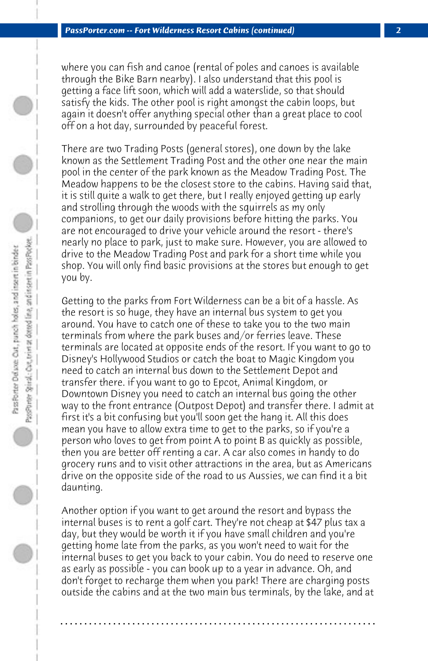where you can fish and canoe (rental of poles and canoes is available through the Bike Barn nearby). I also understand that this pool is getting a face lift soon, which will add a waterslide, so that should satisfy the kids. The other pool is right amongst the cabin loops, but again it doesn't offer anything special other than a great place to cool off on a hot day, surrounded by peaceful forest.

There are two Trading Posts (general stores), one down by the lake known as the Settlement Trading Post and the other one near the main pool in the center of the park known as the Meadow Trading Post. The Meadow happens to be the closest store to the cabins. Having said that, it is still quite a walk to get there, but I really enjoyed getting up early and strolling through the woods with the squirrels as my only companions, to get our daily provisions before hitting the parks. You are not encouraged to drive your vehicle around the resort - there's nearly no place to park, just to make sure. However, you are allowed to drive to the Meadow Trading Post and park for a short time while you shop. You will only find basic provisions at the stores but enough to get you by.

Getting to the parks from Fort Wilderness can be a bit of a hassle. As the resort is so huge, they have an internal bus system to get you around. You have to catch one of these to take you to the two main terminals from where the park buses and/or ferries leave. These terminals are located at opposite ends of the resort. If you want to go to Disney's Hollywood Studios or catch the boat to Magic Kingdom you need to catch an internal bus down to the Settlement Depot and transfer there. if you want to go to Epcot, Animal Kingdom, or Downtown Disney you need to catch an internal bus going the other way to the front entrance (Outpost Depot) and transfer there. I admit at first it's a bit confusing but you'll soon get the hang it. All this does mean you have to allow extra time to get to the parks, so if you're a person who loves to get from point A to point B as quickly as possible, then you are better off renting a car. A car also comes in handy to do grocery runs and to visit other attractions in the area, but as Americans drive on the opposite side of the road to us Aussies, we can find it a bit daunting.

Another option if you want to get around the resort and bypass the internal buses is to rent a golf cart. They're not cheap at \$47 plus tax a day, but they would be worth it if you have small children and you're getting home late from the parks, as you won't need to wait for the internal buses to get you back to your cabin. You do need to reserve one as early as possible - you can book up to a year in advance. Oh, and don't forget to recharge them when you park! There are charging posts outside the cabins and at the two main bus terminals, by the lake, and at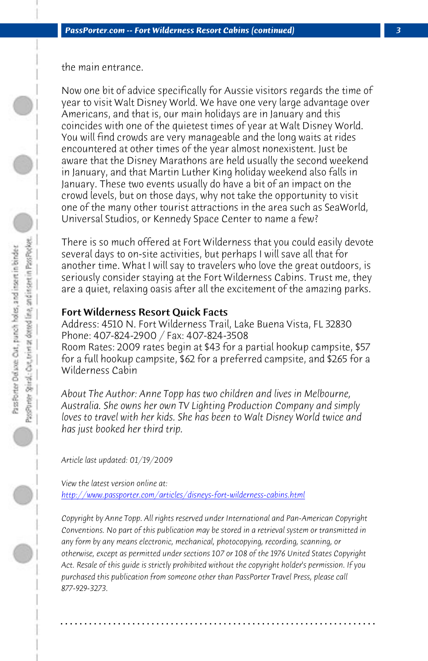the main entrance.

Now one bit of advice specifically for Aussie visitors regards the time of year to visit Walt Disney World. We have one very large advantage over Americans, and that is, our main holidays are in January and this coincides with one of the quietest times of year at Walt Disney World. You will find crowds are very manageable and the long waits at rides encountered at other times of the year almost nonexistent. Just be aware that the Disney Marathons are held usually the second weekend in January, and that Martin Luther King holiday weekend also falls in January. These two events usually do have a bit of an impact on the crowd levels, but on those days, why not take the opportunity to visit one of the many other tourist attractions in the area such as SeaWorld, Universal Studios, or Kennedy Space Center to name a few?

There is so much offered at Fort Wilderness that you could easily devote several days to on-site activities, but perhaps I will save all that for another time. What I will say to travelers who love the great outdoors, is seriously consider staying at the Fort Wilderness Cabins. Trust me, they are a quiet, relaxing oasis after all the excitement of the amazing parks.

## Fort Wilderness Resort Quick Facts

Address: 4510 N. Fort Wilderness Trail, Lake Buena Vista, FL 32830 Phone: 407-824-2900 / Fax: 407-824-3508 Room Rates: 2009 rates begin at \$43 for a partial hookup campsite, \$57 for a full hookup campsite, \$62 for a preferred campsite, and \$265 for a Wilderness Cabin

*About The Author: Anne Topp has two children and lives in Melbourne, Australia. She owns her own TV Lighting Production Company and simply loves to travel with her kids. She has been to Walt Disney World twice and has just booked her third trip.*

*Article last updated: 01/19/2009*

*View the latest version online at: http://www.passporter.com/articles/disneys-fort-wilderness-cabins.html*

*Copyright by Anne Topp. All rights reserved under International and Pan-American Copyright Conventions. No part of this publication may be stored in a retrieval system or transmitted in any form by any means electronic, mechanical, photocopying, recording, scanning, or otherwise, except as permitted under sections 107 or 108 of the 1976 United States Copyright Act. Resale of this guide is strictly prohibited without the copyright holder's permission. If you purchased this publication from someone other than PassPorter Travel Press, please call 877-929-3273.*